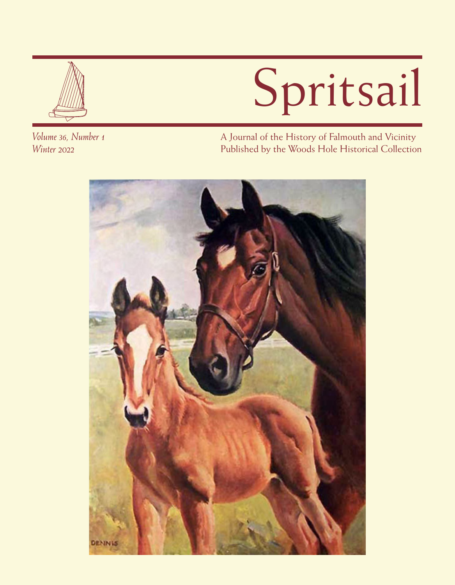

# Spritsail

*Volume 36, Number 1 Winter 2022*

A Journal of the History of Falmouth and Vicinity Published by the Woods Hole Historical Collection

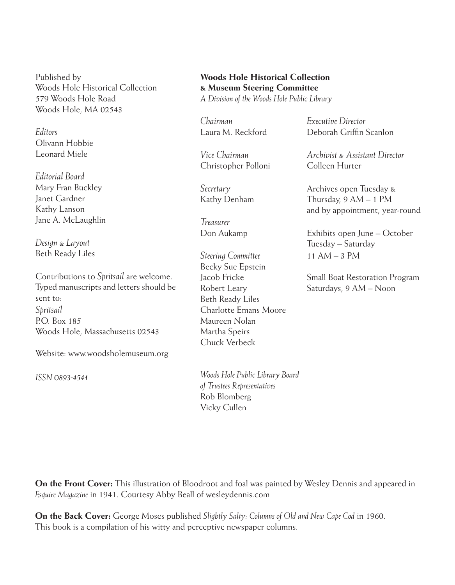Published by Woods Hole Historical Collection 579 Woods Hole Road Woods Hole, MA 02543

*Editors* Olivann Hobbie Leonard Miele

*Editorial Board* Mary Fran Buckley Janet Gardner Kathy Lanson Jane A. McLaughlin

*Design & Layout* Beth Ready Liles

Contributions to *Spritsail* are welcome. Typed manuscripts and letters should be sent to: *Spritsail* P.O. Box 185 Woods Hole, Massachusetts 02543

Website: www.woodsholemuseum.org

*ISSN 0893-4541*

#### **Woods Hole Historical Collection & Museum Steering Committee**

*A Division of the Woods Hole Public Library*

*Chairman Executive Director*

Christopher Polloni Colleen Hurter

*Treasurer*

*Steering Committee* 11 AM – 3 PM Becky Sue Epstein Beth Ready Liles Charlotte Emans Moore Maureen Nolan Martha Speirs Chuck Verbeck

*Woods Hole Public Library Board of Trustees Representatives* Rob Blomberg Vicky Cullen

Laura M. Reckford Deborah Griffin Scanlon

*Vice Chairman Archivist & Assistant Director*

*Secretary* Archives open Tuesday & Kathy Denham Thursday, 9 AM – 1 PM and by appointment, year-round

Don Aukamp Exhibits open June – October Tuesday – Saturday

Jacob Fricke Small Boat Restoration Program Robert Leary Saturdays, 9 AM – Noon

**On the Front Cover:** This illustration of Bloodroot and foal was painted by Wesley Dennis and appeared in *Esquire Magazine* in 1941. Courtesy Abby Beall of wesleydennis.com

**On the Back Cover:** George Moses published *Slightly Salty: Columns of Old and New Cape Cod* in 1960. This book is a compilation of his witty and perceptive newspaper columns.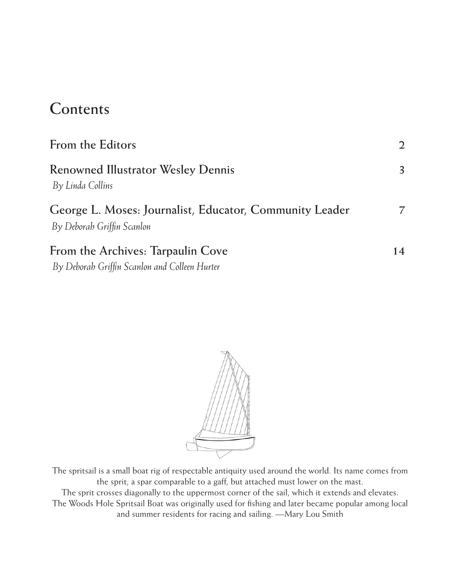## **Contents**

| From the Editors                                                                      | $\mathfrak{D}$ |
|---------------------------------------------------------------------------------------|----------------|
| <b>Renowned Illustrator Wesley Dennis</b><br>By Linda Collins                         | 3              |
| George L. Moses: Journalist, Educator, Community Leader<br>By Deborah Griffin Scanlon |                |
| From the Archives: Tarpaulin Cove<br>By Deborah Griffin Scanlon and Colleen Hurter    | 14             |



The spritsail is a small boat rig of respectable antiquity used around the world. Its name comes from the sprit, a spar comparable to a gaff, but attached must lower on the mast. The sprit crosses diagonally to the uppermost corner of the sail, which it extends and elevates. The Woods Hole Spritsail Boat was originally used for fishing and later became popular among local and summer residents for racing and sailing. —Mary Lou Smith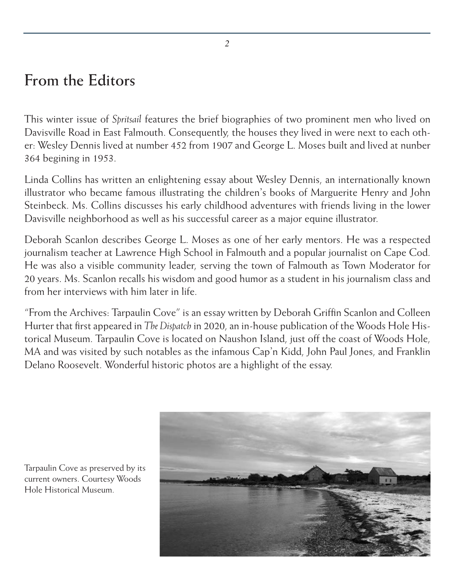## **From the Editors**

This winter issue of *Spritsail* features the brief biographies of two prominent men who lived on Davisville Road in East Falmouth. Consequently, the houses they lived in were next to each other: Wesley Dennis lived at number 452 from 1907 and George L. Moses built and lived at nunber 364 begining in 1953.

Linda Collins has written an enlightening essay about Wesley Dennis, an internationally known illustrator who became famous illustrating the children's books of Marguerite Henry and John Steinbeck. Ms. Collins discusses his early childhood adventures with friends living in the lower Davisville neighborhood as well as his successful career as a major equine illustrator.

Deborah Scanlon describes George L. Moses as one of her early mentors. He was a respected journalism teacher at Lawrence High School in Falmouth and a popular journalist on Cape Cod. He was also a visible community leader, serving the town of Falmouth as Town Moderator for 20 years. Ms. Scanlon recalls his wisdom and good humor as a student in his journalism class and from her interviews with him later in life.

"From the Archives: Tarpaulin Cove" is an essay written by Deborah Griffin Scanlon and Colleen Hurter that first appeared in *The Dispatch* in 2020, an in-house publication of the Woods Hole Historical Museum. Tarpaulin Cove is located on Naushon Island, just off the coast of Woods Hole, MA and was visited by such notables as the infamous Cap'n Kidd, John Paul Jones, and Franklin Delano Roosevelt. Wonderful historic photos are a highlight of the essay.



Tarpaulin Cove as preserved by its current owners. Courtesy Woods Hole Historical Museum.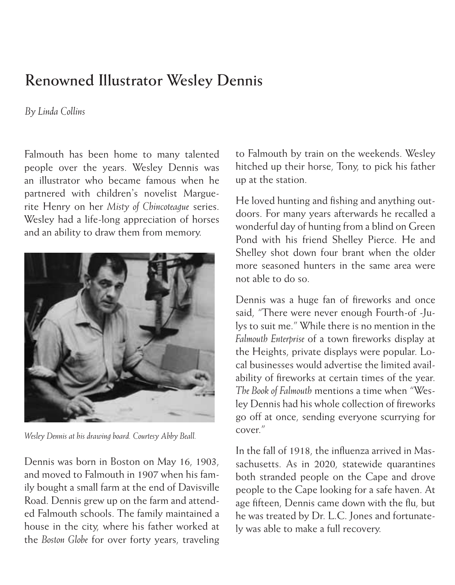## **Renowned Illustrator Wesley Dennis**

#### *By Linda Collins*

Falmouth has been home to many talented people over the years. Wesley Dennis was an illustrator who became famous when he partnered with children's novelist Marguerite Henry on her *Misty of Chincoteague* series. Wesley had a life-long appreciation of horses and an ability to draw them from memory.



*Wesley Dennis at his drawing board. Courtesy Abby Beall.*

Dennis was born in Boston on May 16, 1903, and moved to Falmouth in 1907 when his family bought a small farm at the end of Davisville Road. Dennis grew up on the farm and attended Falmouth schools. The family maintained a house in the city, where his father worked at the *Boston Globe* for over forty years, traveling

to Falmouth by train on the weekends. Wesley hitched up their horse, Tony, to pick his father up at the station.

He loved hunting and fishing and anything outdoors. For many years afterwards he recalled a wonderful day of hunting from a blind on Green Pond with his friend Shelley Pierce. He and Shelley shot down four brant when the older more seasoned hunters in the same area were not able to do so.

Dennis was a huge fan of fireworks and once said, "There were never enough Fourth-of -Julys to suit me." While there is no mention in the *Falmouth Enterprise* of a town fireworks display at the Heights, private displays were popular. Local businesses would advertise the limited availability of fireworks at certain times of the year. *The Book of Falmouth* mentions a time when "Wesley Dennis had his whole collection of fireworks go off at once, sending everyone scurrying for cover."

In the fall of 1918, the influenza arrived in Massachusetts. As in 2020, statewide quarantines both stranded people on the Cape and drove people to the Cape looking for a safe haven. At age fifteen, Dennis came down with the flu, but he was treated by Dr. L.C. Jones and fortunately was able to make a full recovery.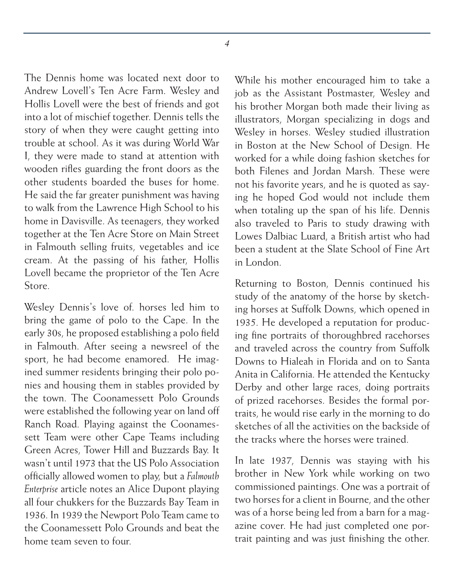The Dennis home was located next door to Andrew Lovell's Ten Acre Farm. Wesley and Hollis Lovell were the best of friends and got into a lot of mischief together. Dennis tells the story of when they were caught getting into trouble at school. As it was during World War I, they were made to stand at attention with wooden rifles guarding the front doors as the other students boarded the buses for home. He said the far greater punishment was having to walk from the Lawrence High School to his home in Davisville. As teenagers, they worked together at the Ten Acre Store on Main Street in Falmouth selling fruits, vegetables and ice cream. At the passing of his father, Hollis Lovell became the proprietor of the Ten Acre Store.

Wesley Dennis's love of. horses led him to bring the game of polo to the Cape. In the early 30s, he proposed establishing a polo field in Falmouth. After seeing a newsreel of the sport, he had become enamored. He imagined summer residents bringing their polo ponies and housing them in stables provided by the town. The Coonamessett Polo Grounds were established the following year on land off Ranch Road. Playing against the Coonamessett Team were other Cape Teams including Green Acres, Tower Hill and Buzzards Bay. It wasn't until 1973 that the US Polo Association officially allowed women to play, but a *Falmouth Enterprise* article notes an Alice Dupont playing all four chukkers for the Buzzards Bay Team in 1936. In 1939 the Newport Polo Team came to the Coonamessett Polo Grounds and beat the home team seven to four.

While his mother encouraged him to take a job as the Assistant Postmaster, Wesley and his brother Morgan both made their living as illustrators, Morgan specializing in dogs and Wesley in horses. Wesley studied illustration in Boston at the New School of Design. He worked for a while doing fashion sketches for both Filenes and Jordan Marsh. These were not his favorite years, and he is quoted as saying he hoped God would not include them when totaling up the span of his life. Dennis also traveled to Paris to study drawing with Lowes Dalbiac Luard, a British artist who had been a student at the Slate School of Fine Art in London.

Returning to Boston, Dennis continued his study of the anatomy of the horse by sketching horses at Suffolk Downs, which opened in 1935. He developed a reputation for producing fine portraits of thoroughbred racehorses and traveled across the country from Suffolk Downs to Hialeah in Florida and on to Santa Anita in California. He attended the Kentucky Derby and other large races, doing portraits of prized racehorses. Besides the formal portraits, he would rise early in the morning to do sketches of all the activities on the backside of the tracks where the horses were trained.

In late 1937, Dennis was staying with his brother in New York while working on two commissioned paintings. One was a portrait of two horses for a client in Bourne, and the other was of a horse being led from a barn for a magazine cover. He had just completed one portrait painting and was just finishing the other.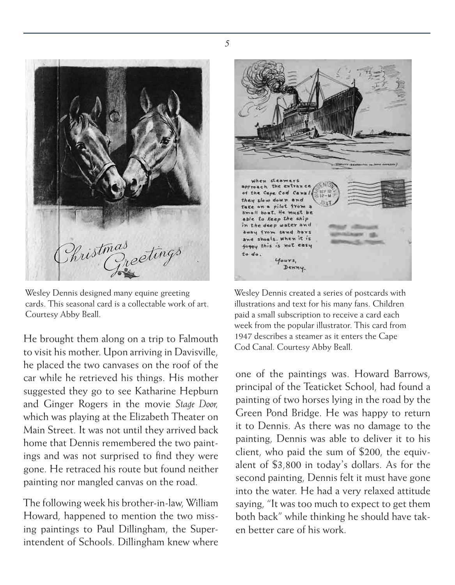

Wesley Dennis designed many equine greeting cards. This seasonal card is a collectable work of art. Courtesy Abby Beall.

He brought them along on a trip to Falmouth to visit his mother. Upon arriving in Davisville, he placed the two canvases on the roof of the car while he retrieved his things. His mother suggested they go to see Katharine Hepburn and Ginger Rogers in the movie *Stage Door,*  which was playing at the Elizabeth Theater on Main Street. It was not until they arrived back home that Dennis remembered the two paintings and was not surprised to find they were gone. He retraced his route but found neither painting nor mangled canvas on the road.

The following week his brother-in-law, William Howard, happened to mention the two missing paintings to Paul Dillingham, the Superintendent of Schools. Dillingham knew where

when sleamers the extra: the plants of the plants pilot from t. He must be able to Keep the ship in the deep water and away from sand havs and shoals, when it is foggy this is not easy to do. yours, Denny.

Wesley Dennis created a series of postcards with illustrations and text for his many fans. Children paid a small subscription to receive a card each week from the popular illustrator. This card from 1947 describes a steamer as it enters the Cape Cod Canal. Courtesy Abby Beall.

one of the paintings was. Howard Barrows, principal of the Teaticket School, had found a painting of two horses lying in the road by the Green Pond Bridge. He was happy to return it to Dennis. As there was no damage to the painting, Dennis was able to deliver it to his client, who paid the sum of \$200, the equivalent of \$3,800 in today's dollars. As for the second painting, Dennis felt it must have gone into the water. He had a very relaxed attitude saying, "It was too much to expect to get them both back" while thinking he should have taken better care of his work.

*5*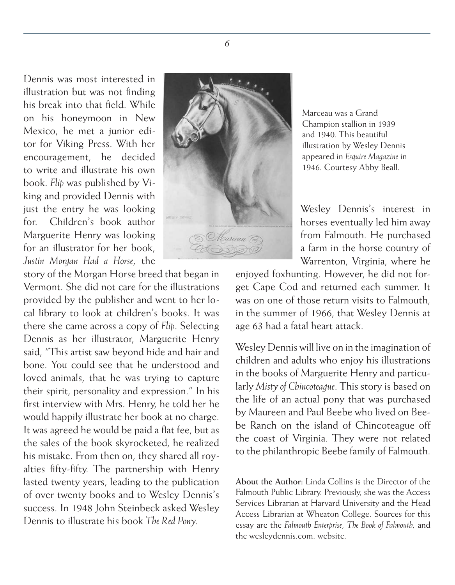Dennis was most interested in illustration but was not finding his break into that field. While on his honeymoon in New Mexico, he met a junior editor for Viking Press. With her encouragement, he decided to write and illustrate his own book. *Flip* was published by Viking and provided Dennis with just the entry he was looking for. Children's book author Marguerite Henry was looking for an illustrator for her book, *Justin Morgan Had a Horse*, the

story of the Morgan Horse breed that began in Vermont. She did not care for the illustrations provided by the publisher and went to her local library to look at children's books. It was there she came across a copy of *Flip*. Selecting Dennis as her illustrator, Marguerite Henry said, "This artist saw beyond hide and hair and bone. You could see that he understood and loved animals, that he was trying to capture their spirit, personality and expression." In his first interview with Mrs. Henry, he told her he would happily illustrate her book at no charge. It was agreed he would be paid a flat fee, but as the sales of the book skyrocketed, he realized his mistake. From then on, they shared all royalties fifty-fifty. The partnership with Henry lasted twenty years, leading to the publication of over twenty books and to Wesley Dennis's success. In 1948 John Steinbeck asked Wesley Dennis to illustrate his book *The Red Pony.*



Marceau was a Grand Champion stallion in 1939 and 1940. This beautiful illustration by Wesley Dennis appeared in *Esquire Magazine* in 1946. Courtesy Abby Beall.

Wesley Dennis's interest in horses eventually led him away from Falmouth. He purchased a farm in the horse country of Warrenton, Virginia, where he

enjoyed foxhunting. However, he did not forget Cape Cod and returned each summer. It was on one of those return visits to Falmouth, in the summer of 1966, that Wesley Dennis at age 63 had a fatal heart attack.

Wesley Dennis will live on in the imagination of children and adults who enjoy his illustrations in the books of Marguerite Henry and particularly *Misty of Chincoteague*. This story is based on the life of an actual pony that was purchased by Maureen and Paul Beebe who lived on Beebe Ranch on the island of Chincoteague off the coast of Virginia. They were not related to the philanthropic Beebe family of Falmouth.

**About the Author:** Linda Collins is the Director of the Falmouth Public Library. Previously, she was the Access Services Librarian at Harvard University and the Head Access Librarian at Wheaton College. Sources for this essay are the *Falmouth Enterprise*, *The Book of Falmouth,* and the wesleydennis.com. website.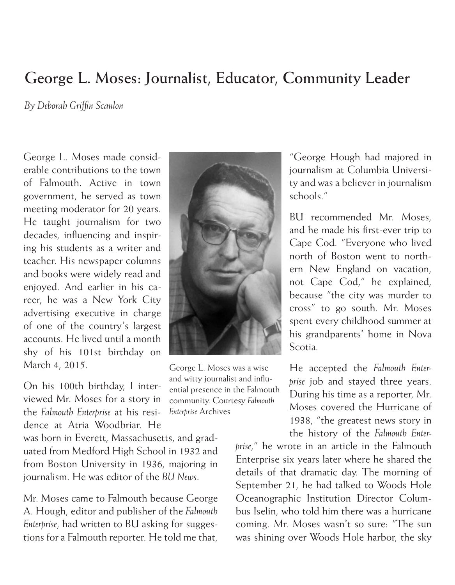## **George L. Moses: Journalist, Educator, Community Leader**

*By Deborah Griffin Scanlon*

George L. Moses made considerable contributions to the town of Falmouth. Active in town government, he served as town meeting moderator for 20 years. He taught journalism for two decades, influencing and inspiring his students as a writer and teacher. His newspaper columns and books were widely read and enjoyed. And earlier in his career, he was a New York City advertising executive in charge of one of the country's largest accounts. He lived until a month shy of his 101st birthday on March 4, 2015.

On his 100th birthday, I interviewed Mr. Moses for a story in the *Falmouth Enterprise* at his residence at Atria Woodbriar. He

was born in Everett, Massachusetts, and graduated from Medford High School in 1932 and from Boston University in 1936, majoring in journalism. He was editor of the *BU News*.

Mr. Moses came to Falmouth because George A. Hough, editor and publisher of the *Falmouth Enterprise*, had written to BU asking for suggestions for a Falmouth reporter. He told me that,



George L. Moses was a wise and witty journalist and influential presence in the Falmouth community. Courtesy *Falmouth Enterprise* Archives

"George Hough had majored in journalism at Columbia University and was a believer in journalism schools."

BU recommended Mr. Moses, and he made his first-ever trip to Cape Cod. "Everyone who lived north of Boston went to northern New England on vacation, not Cape Cod," he explained, because "the city was murder to cross" to go south. Mr. Moses spent every childhood summer at his grandparents' home in Nova Scotia.

He accepted the *Falmouth Enterprise* job and stayed three years. During his time as a reporter, Mr. Moses covered the Hurricane of 1938, "the greatest news story in the history of the *Falmouth Enter-*

*prise*," he wrote in an article in the Falmouth Enterprise six years later where he shared the details of that dramatic day. The morning of September 21, he had talked to Woods Hole Oceanographic Institution Director Columbus Iselin, who told him there was a hurricane coming. Mr. Moses wasn't so sure: "The sun was shining over Woods Hole harbor, the sky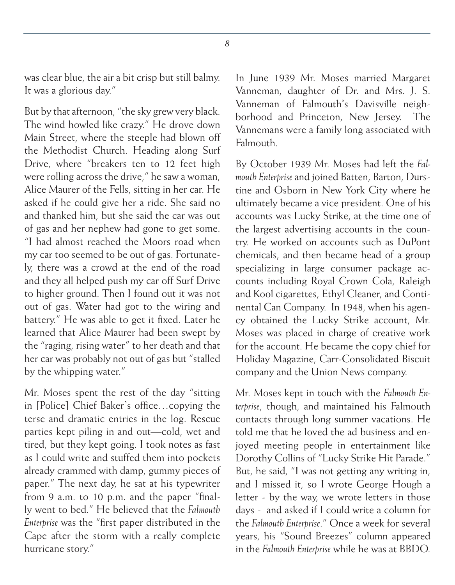was clear blue, the air a bit crisp but still balmy. It was a glorious day."

But by that afternoon, "the sky grew very black. The wind howled like crazy." He drove down Main Street, where the steeple had blown off the Methodist Church. Heading along Surf Drive, where "breakers ten to 12 feet high were rolling across the drive," he saw a woman, Alice Maurer of the Fells, sitting in her car. He asked if he could give her a ride. She said no and thanked him, but she said the car was out of gas and her nephew had gone to get some. "I had almost reached the Moors road when my car too seemed to be out of gas. Fortunately, there was a crowd at the end of the road and they all helped push my car off Surf Drive to higher ground. Then I found out it was not out of gas. Water had got to the wiring and battery." He was able to get it fixed. Later he learned that Alice Maurer had been swept by the "raging, rising water" to her death and that her car was probably not out of gas but "stalled by the whipping water."

Mr. Moses spent the rest of the day "sitting in [Police] Chief Baker's office…copying the terse and dramatic entries in the log. Rescue parties kept piling in and out—cold, wet and tired, but they kept going. I took notes as fast as I could write and stuffed them into pockets already crammed with damp, gummy pieces of paper." The next day, he sat at his typewriter from 9 a.m. to 10 p.m. and the paper "finally went to bed." He believed that the *Falmouth Enterprise* was the "first paper distributed in the Cape after the storm with a really complete hurricane story."

In June 1939 Mr. Moses married Margaret Vanneman, daughter of Dr. and Mrs. J. S. Vanneman of Falmouth's Davisville neighborhood and Princeton, New Jersey. The Vannemans were a family long associated with **Falmouth** 

By October 1939 Mr. Moses had left the *Falmouth Enterprise* and joined Batten, Barton, Durstine and Osborn in New York City where he ultimately became a vice president. One of his accounts was Lucky Strike, at the time one of the largest advertising accounts in the country. He worked on accounts such as DuPont chemicals, and then became head of a group specializing in large consumer package accounts including Royal Crown Cola, Raleigh and Kool cigarettes, Ethyl Cleaner, and Continental Can Company. In 1948, when his agency obtained the Lucky Strike account, Mr. Moses was placed in charge of creative work for the account. He became the copy chief for Holiday Magazine, Carr-Consolidated Biscuit company and the Union News company.

Mr. Moses kept in touch with the *Falmouth Enterprise*, though, and maintained his Falmouth contacts through long summer vacations. He told me that he loved the ad business and enjoyed meeting people in entertainment like Dorothy Collins of "Lucky Strike Hit Parade." But, he said, "I was not getting any writing in, and I missed it, so I wrote George Hough a letter - by the way, we wrote letters in those days - and asked if I could write a column for the *Falmouth Enterprise*." Once a week for several years, his "Sound Breezes" column appeared in the *Falmouth Enterprise* while he was at BBDO.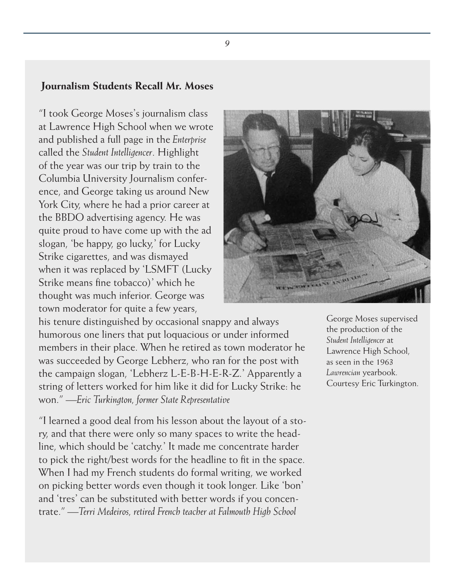### **Journalism Students Recall Mr. Moses**

"I took George Moses's journalism class at Lawrence High School when we wrote and published a full page in the *Enterprise* called the *Student Intelligencer*. Highlight of the year was our trip by train to the Columbia University Journalism conference, and George taking us around New York City, where he had a prior career at the BBDO advertising agency. He was quite proud to have come up with the ad slogan, 'be happy, go lucky,' for Lucky Strike cigarettes, and was dismayed when it was replaced by 'LSMFT (Lucky Strike means fine tobacco)' which he thought was much inferior. George was town moderator for quite a few years,



his tenure distinguished by occasional snappy and always humorous one liners that put loquacious or under informed members in their place. When he retired as town moderator he was succeeded by George Lebherz, who ran for the post with the campaign slogan, 'Lebherz L-E-B-H-E-R-Z.' Apparently a string of letters worked for him like it did for Lucky Strike: he won." *—Eric Turkington, former State Representative*

"I learned a good deal from his lesson about the layout of a story, and that there were only so many spaces to write the headline, which should be 'catchy.' It made me concentrate harder to pick the right/best words for the headline to fit in the space. When I had my French students do formal writing, we worked on picking better words even though it took longer. Like 'bon' and 'tres' can be substituted with better words if you concentrate." *—Terri Medeiros, retired French teacher at Falmouth High School*

George Moses supervised the production of the *Student Intelligencer* at Lawrence High School, as seen in the 1963 *Lawrencian* yearbook. Courtesy Eric Turkington.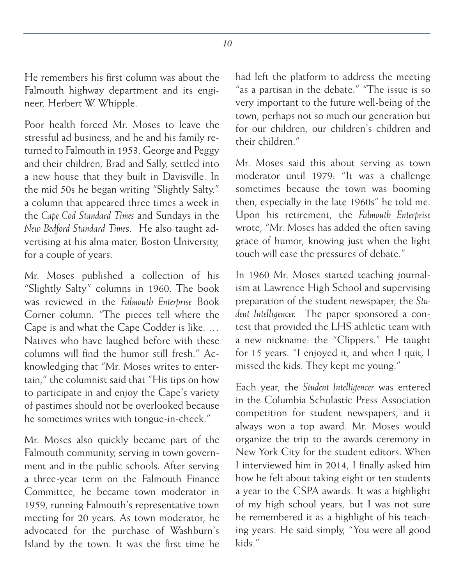He remembers his first column was about the Falmouth highway department and its engineer, Herbert W. Whipple.

Poor health forced Mr. Moses to leave the stressful ad business, and he and his family returned to Falmouth in 1953. George and Peggy and their children, Brad and Sally, settled into a new house that they built in Davisville. In the mid 50s he began writing "Slightly Salty," a column that appeared three times a week in the *Cape Cod Standard Times* and Sundays in the *New Bedford Standard Time*s. He also taught advertising at his alma mater, Boston University, for a couple of years.

Mr. Moses published a collection of his "Slightly Salty" columns in 1960. The book was reviewed in the *Falmouth Enterprise* Book Corner column. "The pieces tell where the Cape is and what the Cape Codder is like. … Natives who have laughed before with these columns will find the humor still fresh." Acknowledging that "Mr. Moses writes to entertain," the columnist said that "His tips on how to participate in and enjoy the Cape's variety of pastimes should not be overlooked because he sometimes writes with tongue-in-cheek."

Mr. Moses also quickly became part of the Falmouth community, serving in town government and in the public schools. After serving a three-year term on the Falmouth Finance Committee, he became town moderator in 1959, running Falmouth's representative town meeting for 20 years. As town moderator, he advocated for the purchase of Washburn's Island by the town. It was the first time he

had left the platform to address the meeting "as a partisan in the debate." "The issue is so very important to the future well-being of the town, perhaps not so much our generation but for our children, our children's children and their children."

Mr. Moses said this about serving as town moderator until 1979: "It was a challenge sometimes because the town was booming then, especially in the late 1960s" he told me. Upon his retirement, the *Falmouth Enterprise*  wrote, "Mr. Moses has added the often saving grace of humor, knowing just when the light touch will ease the pressures of debate."

In 1960 Mr. Moses started teaching journalism at Lawrence High School and supervising preparation of the student newspaper, the *Student Intelligencer.* The paper sponsored a contest that provided the LHS athletic team with a new nickname: the "Clippers." He taught for 15 years. "I enjoyed it, and when I quit, I missed the kids. They kept me young."

Each year, the *Student Intelligencer* was entered in the Columbia Scholastic Press Association competition for student newspapers, and it always won a top award. Mr. Moses would organize the trip to the awards ceremony in New York City for the student editors. When I interviewed him in 2014, I finally asked him how he felt about taking eight or ten students a year to the CSPA awards. It was a highlight of my high school years, but I was not sure he remembered it as a highlight of his teaching years. He said simply, "You were all good kids."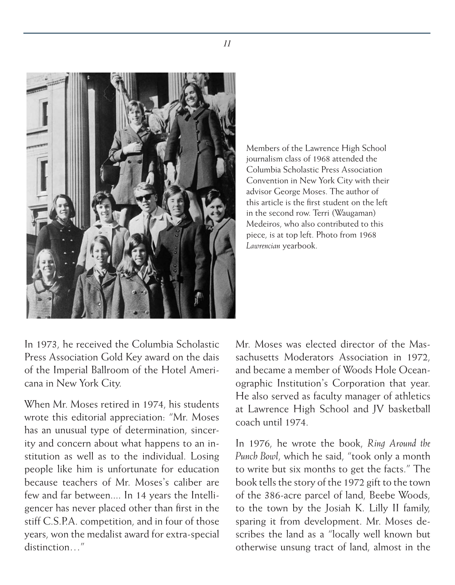

Members of the Lawrence High School journalism class of 1968 attended the Columbia Scholastic Press Association Convention in New York City with their advisor George Moses. The author of this article is the first student on the left in the second row. Terri (Waugaman) Medeiros, who also contributed to this piece, is at top left. Photo from 1968 *Lawrencian* yearbook.

In 1973, he received the Columbia Scholastic Press Association Gold Key award on the dais of the Imperial Ballroom of the Hotel Americana in New York City.

When Mr. Moses retired in 1974, his students wrote this editorial appreciation: "Mr. Moses has an unusual type of determination, sincerity and concern about what happens to an institution as well as to the individual. Losing people like him is unfortunate for education because teachers of Mr. Moses's caliber are few and far between.... In 14 years the Intelligencer has never placed other than first in the stiff C.S.P.A. competition, and in four of those years, won the medalist award for extra-special distinction  $\frac{m}{2}$ 

Mr. Moses was elected director of the Massachusetts Moderators Association in 1972, and became a member of Woods Hole Oceanographic Institution's Corporation that year. He also served as faculty manager of athletics at Lawrence High School and JV basketball coach until 1974.

In 1976, he wrote the book, *Ring Around the Punch Bowl*, which he said, "took only a month to write but six months to get the facts." The book tells the story of the 1972 gift to the town of the 386-acre parcel of land, Beebe Woods, to the town by the Josiah K. Lilly II family, sparing it from development. Mr. Moses describes the land as a "locally well known but otherwise unsung tract of land, almost in the

*11*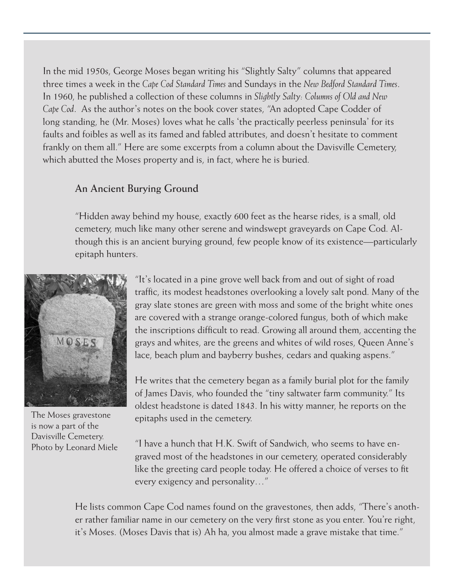In the mid 1950s, George Moses began writing his "Slightly Salty" columns that appeared three times a week in the *Cape Cod Standard Times* and Sundays in the *New Bedford Standard Times*. In 1960, he published a collection of these columns in *Slightly Salty: Columns of Old and New Cape Cod*. As the author's notes on the book cover states, "An adopted Cape Codder of long standing, he (Mr. Moses) loves what he calls 'the practically peerless peninsula' for its faults and foibles as well as its famed and fabled attributes, and doesn't hesitate to comment frankly on them all." Here are some excerpts from a column about the Davisville Cemetery, which abutted the Moses property and is, in fact, where he is buried.

#### **An Ancient Burying Ground**

"Hidden away behind my house, exactly 600 feet as the hearse rides, is a small, old cemetery, much like many other serene and windswept graveyards on Cape Cod. Although this is an ancient burying ground, few people know of its existence—particularly epitaph hunters.



The Moses gravestone is now a part of the Davisville Cemetery. Photo by Leonard Miele

"It's located in a pine grove well back from and out of sight of road traffic, its modest headstones overlooking a lovely salt pond. Many of the gray slate stones are green with moss and some of the bright white ones are covered with a strange orange-colored fungus, both of which make the inscriptions difficult to read. Growing all around them, accenting the grays and whites, are the greens and whites of wild roses, Queen Anne's lace, beach plum and bayberry bushes, cedars and quaking aspens."

He writes that the cemetery began as a family burial plot for the family of James Davis, who founded the "tiny saltwater farm community." Its oldest headstone is dated 1843. In his witty manner, he reports on the epitaphs used in the cemetery.

"I have a hunch that H.K. Swift of Sandwich, who seems to have engraved most of the headstones in our cemetery, operated considerably like the greeting card people today. He offered a choice of verses to fit every exigency and personality…"

He lists common Cape Cod names found on the gravestones, then adds, "There's another rather familiar name in our cemetery on the very first stone as you enter. You're right, it's Moses. (Moses Davis that is) Ah ha, you almost made a grave mistake that time."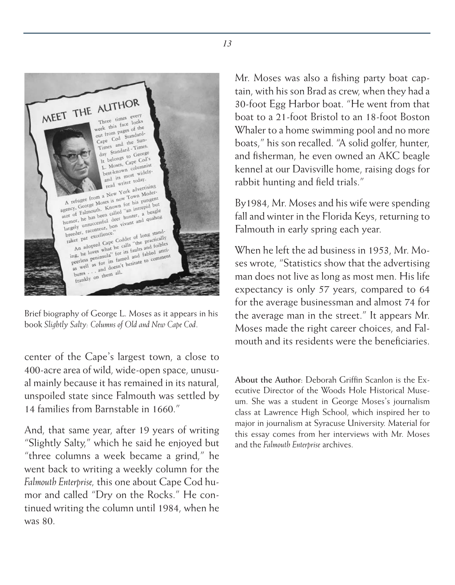

Brief biography of George L. Moses as it appears in his book *Slightly Salty: Columns of Old and New Cape Cod*.

center of the Cape's largest town, a close to 400-acre area of wild, wide-open space, unusual mainly because it has remained in its natural, unspoiled state since Falmouth was settled by 14 families from Barnstable in 1660."

And, that same year, after 19 years of writing "Slightly Salty," which he said he enjoyed but "three columns a week became a grind," he went back to writing a weekly column for the *Falmouth Enterprise,* this one about Cape Cod humor and called "Dry on the Rocks." He continued writing the column until 1984, when he was 80.

Mr. Moses was also a fishing party boat captain, with his son Brad as crew, when they had a 30-foot Egg Harbor boat. "He went from that boat to a 21-foot Bristol to an 18-foot Boston Whaler to a home swimming pool and no more boats," his son recalled. "A solid golfer, hunter, and fisherman, he even owned an AKC beagle kennel at our Davisville home, raising dogs for rabbit hunting and field trials."

By1984, Mr. Moses and his wife were spending fall and winter in the Florida Keys, returning to Falmouth in early spring each year.

When he left the ad business in 1953, Mr. Moses wrote, "Statistics show that the advertising man does not live as long as most men. His life expectancy is only 57 years, compared to 64 for the average businessman and almost 74 for the average man in the street." It appears Mr. Moses made the right career choices, and Falmouth and its residents were the beneficiaries.

**About the Author**: Deborah Griffin Scanlon is the Executive Director of the Woods Hole Historical Museum. She was a student in George Moses's journalism class at Lawrence High School, which inspired her to major in journalism at Syracuse University. Material for this essay comes from her interviews with Mr. Moses and the *Falmouth Enterprise* archives.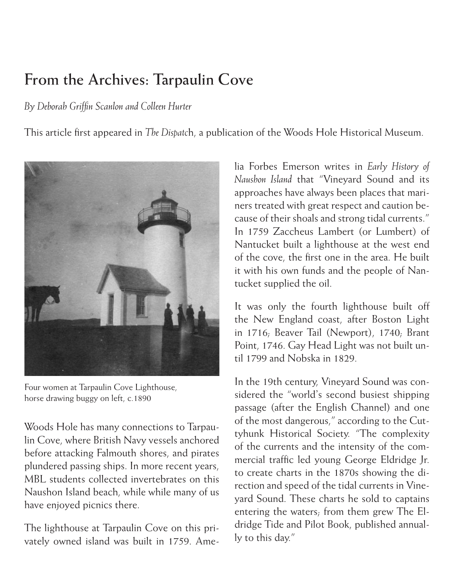## **From the Archives: Tarpaulin Cove**

*By Deborah Griffin Scanlon and Colleen Hurter*

This article first appeared in *The Dispatc*h, a publication of the Woods Hole Historical Museum.



Four women at Tarpaulin Cove Lighthouse, horse drawing buggy on left, c.1890

Woods Hole has many connections to Tarpaulin Cove, where British Navy vessels anchored before attacking Falmouth shores, and pirates plundered passing ships. In more recent years, MBL students collected invertebrates on this Naushon Island beach, while while many of us have enjoyed picnics there.

The lighthouse at Tarpaulin Cove on this privately owned island was built in 1759. Amelia Forbes Emerson writes in *Early History of Naushon Island* that "Vineyard Sound and its approaches have always been places that mariners treated with great respect and caution because of their shoals and strong tidal currents." In 1759 Zaccheus Lambert (or Lumbert) of Nantucket built a lighthouse at the west end of the cove, the first one in the area. He built it with his own funds and the people of Nantucket supplied the oil.

It was only the fourth lighthouse built off the New England coast, after Boston Light in 1716; Beaver Tail (Newport), 1740; Brant Point, 1746. Gay Head Light was not built until 1799 and Nobska in 1829.

In the 19th century, Vineyard Sound was considered the "world's second busiest shipping passage (after the English Channel) and one of the most dangerous," according to the Cuttyhunk Historical Society. "The complexity of the currents and the intensity of the commercial traffic led young George Eldridge Jr. to create charts in the 1870s showing the direction and speed of the tidal currents in Vineyard Sound. These charts he sold to captains entering the waters; from them grew The Eldridge Tide and Pilot Book, published annually to this day."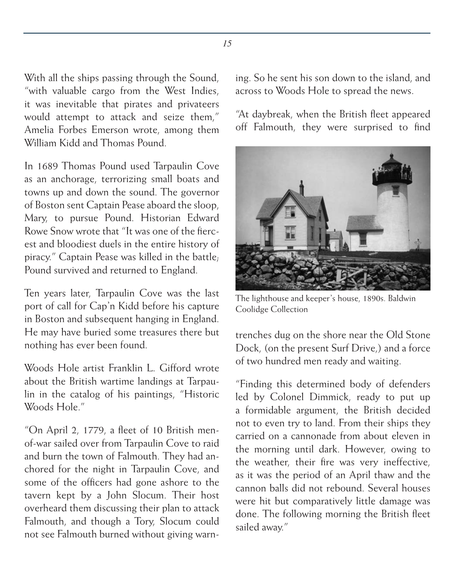With all the ships passing through the Sound, "with valuable cargo from the West Indies, it was inevitable that pirates and privateers would attempt to attack and seize them," Amelia Forbes Emerson wrote, among them William Kidd and Thomas Pound.

In 1689 Thomas Pound used Tarpaulin Cove as an anchorage, terrorizing small boats and towns up and down the sound. The governor of Boston sent Captain Pease aboard the sloop, Mary, to pursue Pound. Historian Edward Rowe Snow wrote that "It was one of the fiercest and bloodiest duels in the entire history of piracy." Captain Pease was killed in the battle; Pound survived and returned to England.

Ten years later, Tarpaulin Cove was the last port of call for Cap'n Kidd before his capture in Boston and subsequent hanging in England. He may have buried some treasures there but nothing has ever been found.

Woods Hole artist Franklin L. Gifford wrote about the British wartime landings at Tarpaulin in the catalog of his paintings, "Historic Woods Hole<sup>"</sup>

"On April 2, 1779, a fleet of 10 British menof-war sailed over from Tarpaulin Cove to raid and burn the town of Falmouth. They had anchored for the night in Tarpaulin Cove, and some of the officers had gone ashore to the tavern kept by a John Slocum. Their host overheard them discussing their plan to attack Falmouth, and though a Tory, Slocum could not see Falmouth burned without giving warning. So he sent his son down to the island, and across to Woods Hole to spread the news.

"At daybreak, when the British fleet appeared off Falmouth, they were surprised to find



The lighthouse and keeper's house, 1890s. Baldwin Coolidge Collection

trenches dug on the shore near the Old Stone Dock, (on the present Surf Drive,) and a force of two hundred men ready and waiting.

"Finding this determined body of defenders led by Colonel Dimmick, ready to put up a formidable argument, the British decided not to even try to land. From their ships they carried on a cannonade from about eleven in the morning until dark. However, owing to the weather, their fire was very ineffective, as it was the period of an April thaw and the cannon balls did not rebound. Several houses were hit but comparatively little damage was done. The following morning the British fleet sailed away."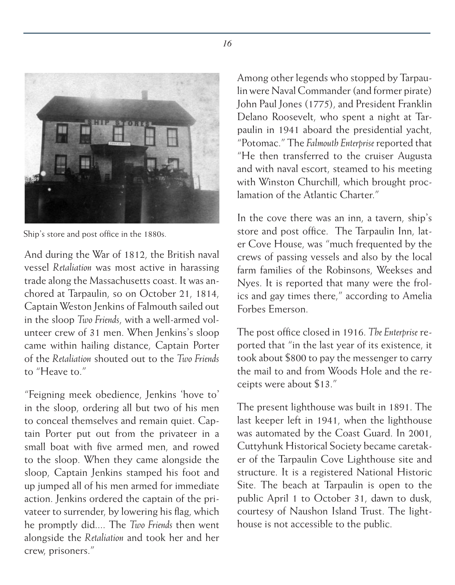

Ship's store and post office in the 1880s.

And during the War of 1812, the British naval vessel *Retaliation* was most active in harassing trade along the Massachusetts coast. It was anchored at Tarpaulin, so on October 21, 1814, Captain Weston Jenkins of Falmouth sailed out in the sloop *Two Friends*, with a well-armed volunteer crew of 31 men. When Jenkins's sloop came within hailing distance, Captain Porter of the *Retaliation* shouted out to the *Two Friends* to "Heave to."

"Feigning meek obedience, Jenkins 'hove to' in the sloop, ordering all but two of his men to conceal themselves and remain quiet. Captain Porter put out from the privateer in a small boat with five armed men, and rowed to the sloop. When they came alongside the sloop, Captain Jenkins stamped his foot and up jumped all of his men armed for immediate action. Jenkins ordered the captain of the privateer to surrender, by lowering his flag, which he promptly did.... The *Two Friends* then went alongside the *Retaliation* and took her and her crew, prisoners."

Among other legends who stopped by Tarpaulin were Naval Commander (and former pirate) John Paul Jones (1775), and President Franklin Delano Roosevelt, who spent a night at Tarpaulin in 1941 aboard the presidential yacht, "Potomac." The *Falmouth Enterprise* reported that "He then transferred to the cruiser Augusta and with naval escort, steamed to his meeting with Winston Churchill, which brought proclamation of the Atlantic Charter."

In the cove there was an inn, a tavern, ship's store and post office. The Tarpaulin Inn, later Cove House, was "much frequented by the crews of passing vessels and also by the local farm families of the Robinsons, Weekses and Nyes. It is reported that many were the frolics and gay times there," according to Amelia Forbes Emerson.

The post office closed in 1916. *The Enterprise* reported that "in the last year of its existence, it took about \$800 to pay the messenger to carry the mail to and from Woods Hole and the receipts were about \$13."

The present lighthouse was built in 1891. The last keeper left in 1941, when the lighthouse was automated by the Coast Guard. In 2001, Cuttyhunk Historical Society became caretaker of the Tarpaulin Cove Lighthouse site and structure. It is a registered National Historic Site. The beach at Tarpaulin is open to the public April 1 to October 31, dawn to dusk, courtesy of Naushon Island Trust. The lighthouse is not accessible to the public.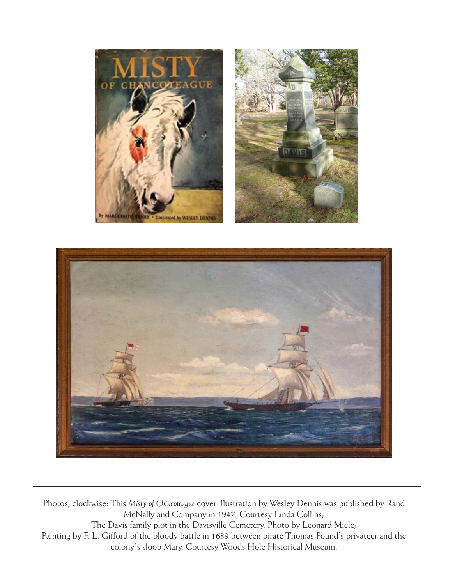





Photos, clockwise: This *Misty of Chincoteague* cover illustration by Wesley Dennis was published by Rand McNally and Company in 1947. Courtesy Linda Collins; The Davis family plot in the Davisville Cemetery. Photo by Leonard Miele; Painting by F. L. Gifford of the bloody battle in 1689 between pirate Thomas Pound's privateer and the colony's sloop Mary. Courtesy Woods Hole Historical Museum.